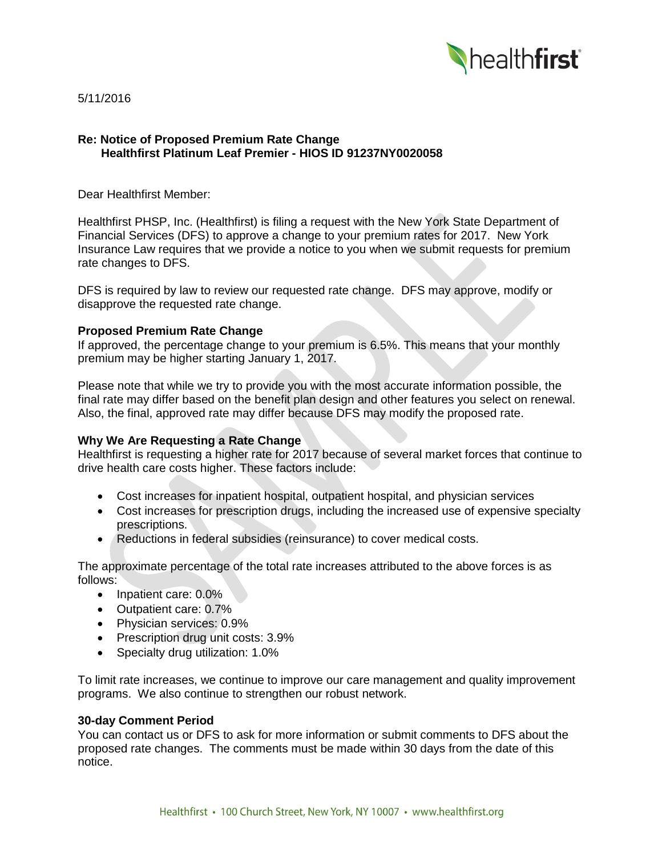

5/11/2016

### **Re: Notice of Proposed Premium Rate Change Healthfirst Platinum Leaf Premier - HIOS ID 91237NY0020058**

Dear Healthfirst Member:

Healthfirst PHSP, Inc. (Healthfirst) is filing a request with the New York State Department of Financial Services (DFS) to approve a change to your premium rates for 2017. New York Insurance Law requires that we provide a notice to you when we submit requests for premium rate changes to DFS.

DFS is required by law to review our requested rate change. DFS may approve, modify or disapprove the requested rate change.

### **Proposed Premium Rate Change**

If approved, the percentage change to your premium is 6.5%. This means that your monthly premium may be higher starting January 1, 2017.

Please note that while we try to provide you with the most accurate information possible, the final rate may differ based on the benefit plan design and other features you select on renewal. Also, the final, approved rate may differ because DFS may modify the proposed rate.

# **Why We Are Requesting a Rate Change**

Healthfirst is requesting a higher rate for 2017 because of several market forces that continue to drive health care costs higher. These factors include:

- Cost increases for inpatient hospital, outpatient hospital, and physician services
- Cost increases for prescription drugs, including the increased use of expensive specialty prescriptions.
- Reductions in federal subsidies (reinsurance) to cover medical costs.

The approximate percentage of the total rate increases attributed to the above forces is as follows:

- Inpatient care: 0.0%
- Outpatient care: 0.7%
- Physician services: 0.9%
- Prescription drug unit costs: 3.9%
- Specialty drug utilization: 1.0%

To limit rate increases, we continue to improve our care management and quality improvement programs. We also continue to strengthen our robust network.

#### **30-day Comment Period**

You can contact us or DFS to ask for more information or submit comments to DFS about the proposed rate changes. The comments must be made within 30 days from the date of this notice.